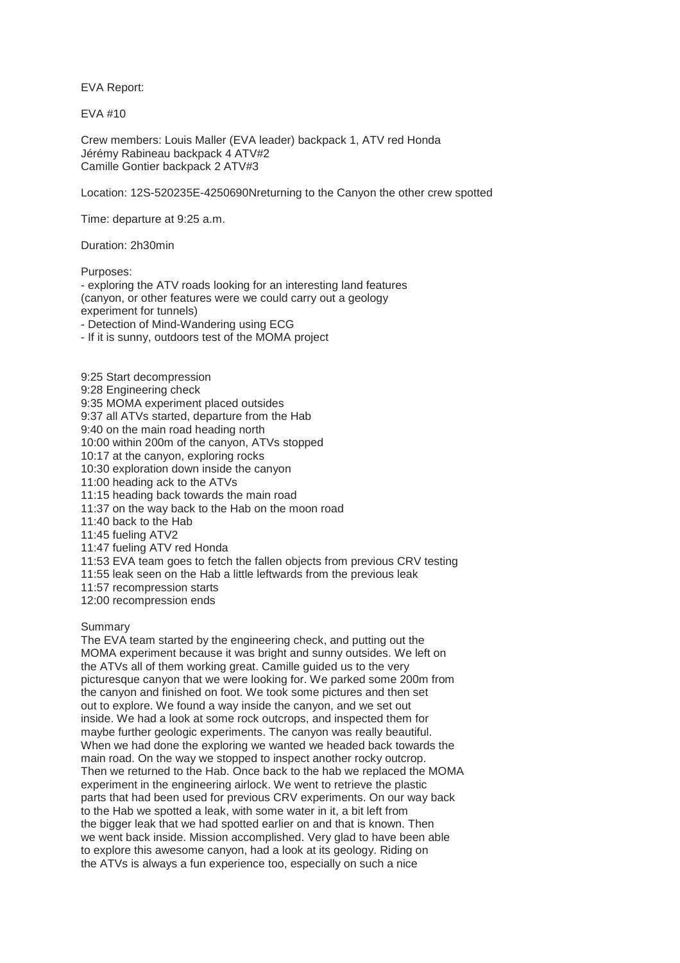EVA Report:

 $FVA$  #10

Crew members: Louis Maller (EVA leader) backpack 1, ATV red Honda Jérémy Rabineau backpack 4 ATV#2 Camille Gontier backpack 2 ATV#3

Location: 12S-520235E-4250690Nreturning to the Canyon the other crew spotted

Time: departure at 9:25 a.m.

Duration: 2h30min

Purposes:

- exploring the ATV roads looking for an interesting land features (canyon, or other features were we could carry out a geology experiment for tunnels) - Detection of Mind-Wandering using ECG

- If it is sunny, outdoors test of the MOMA project

9:25 Start decompression 9:28 Engineering check 9:35 MOMA experiment placed outsides 9:37 all ATVs started, departure from the Hab 9:40 on the main road heading north 10:00 within 200m of the canyon, ATVs stopped 10:17 at the canyon, exploring rocks 10:30 exploration down inside the canyon 11:00 heading ack to the ATVs 11:15 heading back towards the main road 11:37 on the way back to the Hab on the moon road 11:40 back to the Hab 11:45 fueling ATV2 11:47 fueling ATV red Honda 11:53 EVA team goes to fetch the fallen objects from previous CRV testing 11:55 leak seen on the Hab a little leftwards from the previous leak 11:57 recompression starts

12:00 recompression ends

Summary

The EVA team started by the engineering check, and putting out the MOMA experiment because it was bright and sunny outsides. We left on the ATVs all of them working great. Camille guided us to the very picturesque canyon that we were looking for. We parked some 200m from the canyon and finished on foot. We took some pictures and then set out to explore. We found a way inside the canyon, and we set out inside. We had a look at some rock outcrops, and inspected them for maybe further geologic experiments. The canyon was really beautiful. When we had done the exploring we wanted we headed back towards the main road. On the way we stopped to inspect another rocky outcrop. Then we returned to the Hab. Once back to the hab we replaced the MOMA experiment in the engineering airlock. We went to retrieve the plastic parts that had been used for previous CRV experiments. On our way back to the Hab we spotted a leak, with some water in it, a bit left from the bigger leak that we had spotted earlier on and that is known. Then we went back inside. Mission accomplished. Very glad to have been able to explore this awesome canyon, had a look at its geology. Riding on the ATVs is always a fun experience too, especially on such a nice